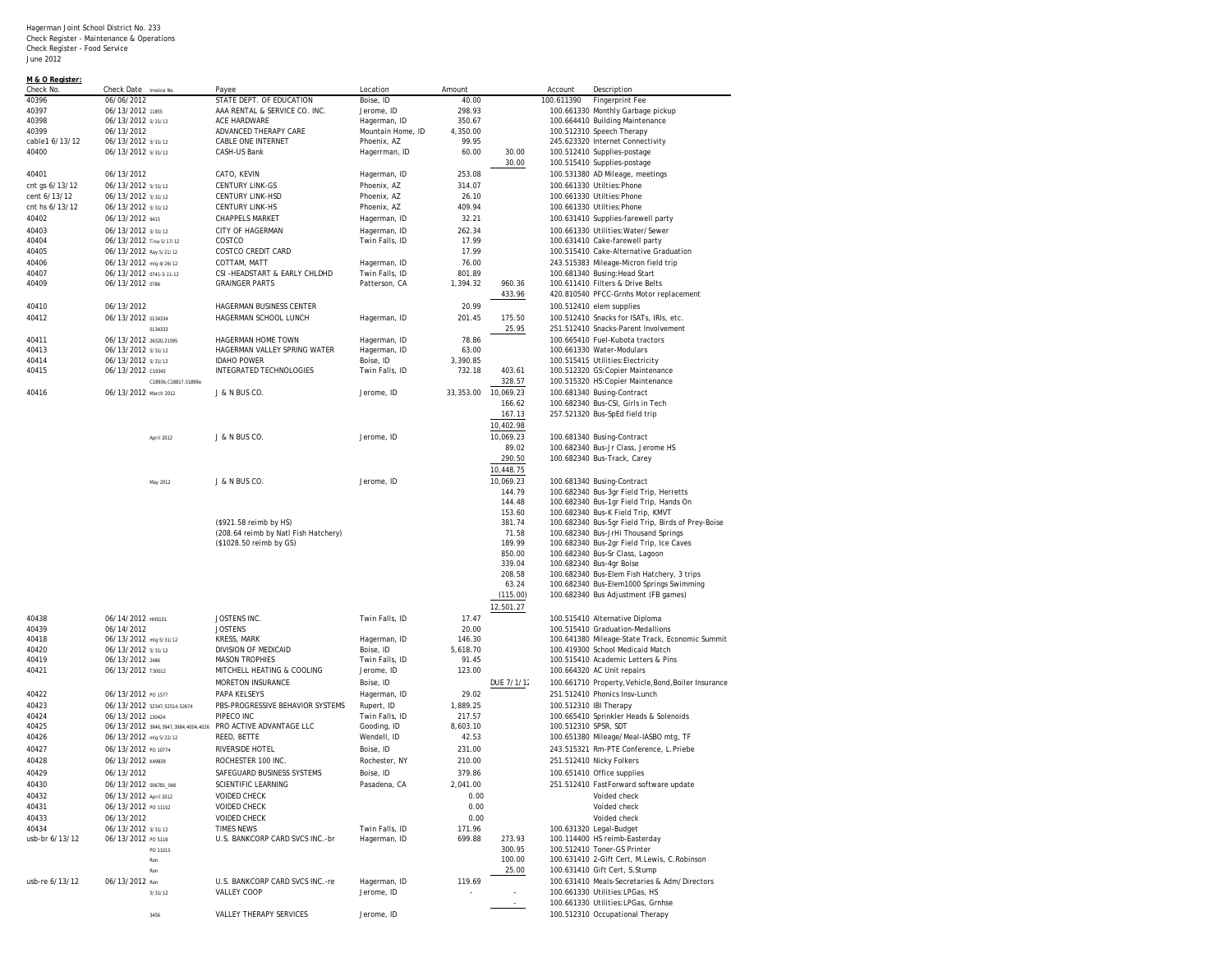| M & O Register:<br>Check No. | Check Date Invoice No                                        | Payee                                | Location          | Amount    |            | Account                | Description                                          |
|------------------------------|--------------------------------------------------------------|--------------------------------------|-------------------|-----------|------------|------------------------|------------------------------------------------------|
| 40396                        | 06/06/2012                                                   | STATE DEPT. OF EDUCATION             | Boise. ID         | 40.00     |            | 100.611390             | Fingerprint Fee                                      |
| 40397                        | 06/13/2012 11855                                             | AAA RENTAL & SERVICE CO. INC.        | Jerome, ID        | 298.93    |            |                        | 100.661330 Monthly Garbage pickup                    |
| 40398                        | 06/13/2012 5/31/12                                           | ACE HARDWARE                         | Hagerman, ID      | 350.67    |            |                        | 100.664410 Building Maintenance                      |
| 40399                        | 06/13/2012                                                   | ADVANCED THERAPY CARE                | Mountain Home, ID | 4,350.00  |            |                        | 100.512310 Speech Therapy                            |
| cable1 6/13/12               | 06/13/2012 5/31/12                                           | CABLE ONE INTERNET                   | Phoenix, AZ       | 99.95     |            |                        | 245.623320 Internet Connectivity                     |
| 40400                        | 06/13/2012 5/31/12                                           | CASH-US Bank                         | Hagerrman, ID     | 60.00     | 30.00      |                        | 100.512410 Supplies-postage                          |
|                              |                                                              |                                      |                   |           | 30.00      |                        | 100.515410 Supplies-postage                          |
|                              |                                                              |                                      |                   |           |            |                        |                                                      |
| 40401                        | 06/13/2012                                                   | CATO, KEVIN                          | Hagerman, ID      | 253.08    |            |                        | 100.531380 AD Mileage, meetings                      |
| cnt gs 6/13/12               | 06/13/2012 5/31/12                                           | <b>CENTURY LINK-GS</b>               | Phoenix, AZ       | 314.07    |            |                        | 100.661330 Utilties: Phone                           |
| cent 6/13/12                 | 06/13/2012 5/31/12                                           | <b>CENTURY LINK-HSD</b>              | Phoenix, AZ       | 26.10     |            |                        | 100.661330 Utilties: Phone                           |
| cnt hs 6/13/12               | 06/13/2012 5/31/12                                           | <b>CENTURY LINK-HS</b>               | Phoenix, AZ       | 409.94    |            |                        | 100.661330 Utilties:Phone                            |
| 40402                        | 06/13/2012 9415                                              | <b>CHAPPELS MARKET</b>               | Hagerman, ID      | 32.21     |            |                        | 100.631410 Supplies-farewell party                   |
| 40403                        | 06/13/2012 5/31/12                                           | <b>CITY OF HAGERMAN</b>              | Hagerman, ID      | 262.34    |            |                        | 100.661330 Utilities: Water/Sewer                    |
| 40404                        | 06/13/2012 Tina 5/17/12                                      | COSTCO                               | Twin Falls, ID    | 17.99     |            |                        | 100.631410 Cake-farewell party                       |
| 40405                        | 06/13/2012 Ray 5/21/12                                       | COSTCO CREDIT CARD                   |                   | 17.99     |            |                        | 100.515410 Cake-Alternative Graduation               |
| 40406                        | 06/13/2012 mlg 4/26/12                                       | COTTAM. MATT                         | Hagerman, ID      | 76.00     |            |                        | 243.515383 Mileage-Micron field trip                 |
| 40407                        | 06/13/2012 0741-5-11-12                                      | CSI-HEADSTART & EARLY CHLDHD         | Twin Falls, ID    | 801.89    |            |                        | 100.681340 Busing: Head Start                        |
| 40409                        | 06/13/2012 0786                                              | <b>GRAINGER PARTS</b>                | Patterson, CA     | 1,394.32  | 960.36     |                        | 100.611410 Filters & Drive Belts                     |
|                              |                                                              |                                      |                   |           | 433.96     |                        | 420.810540 PFCC-Grnhs Motor replacement              |
| 40410                        | 06/13/2012                                                   | HAGERMAN BUSINESS CENTER             |                   | 20.99     |            |                        | 100.512410 elem supplies                             |
| 40412                        | 06/13/2012 0134334                                           | HAGERMAN SCHOOL LUNCH                |                   | 201.45    | 175.50     |                        | 100.512410 Snacks for ISATs, IRIs, etc.              |
|                              |                                                              |                                      | Hagerman, ID      |           |            |                        |                                                      |
|                              | 0134333                                                      |                                      |                   |           | 25.95      |                        | 251.512410 Snacks-Parent Involvement                 |
| 40411                        | 06/13/2012 26320,21595                                       | HAGERMAN HOME TOWN                   | Hagerman, ID      | 78.86     |            |                        | 100.665410 Fuel-Kubota tractors                      |
| 40413                        | 06/13/2012 5/31/12                                           | HAGERMAN VALLEY SPRING WATER         | Hagerman, ID      | 63.00     |            |                        | 100.661330 Water-Modulars                            |
| 40414                        | 06/13/2012 5/31/12                                           | <b>IDAHO POWER</b>                   | Boise, ID         | 3,390.85  |            |                        | 100.515415 Utilities: Electricity                    |
| 40415                        | 06/13/2012 C19345                                            | INTEGRATED TECHNOLOGIES              | Twin Falls, ID    | 732.18    | 403.61     |                        | 100.512320 GS: Copier Maintenance                    |
|                              | C18936.C18817.51899a                                         |                                      |                   |           | 328.57     |                        | 100.515320 HS: Copier Maintenance                    |
| 40416                        | 06/13/2012 March 2012                                        | J & N BUS CO.                        | Jerome, ID        | 33,353.00 | 10,069.23  |                        | 100.681340 Busing-Contract                           |
|                              |                                                              |                                      |                   |           | 166.62     |                        | 100.682340 Bus-CSI, Girls in Tech                    |
|                              |                                                              |                                      |                   |           | 167.13     |                        | 257.521320 Bus-SpEd field trip                       |
|                              |                                                              |                                      |                   |           | 10,402.98  |                        |                                                      |
|                              | April 2012                                                   | J & N BUS CO.                        | Jerome, ID        |           | 10,069.23  |                        | 100.681340 Busing-Contract                           |
|                              |                                                              |                                      |                   |           | 89.02      |                        | 100.682340 Bus-Jr Class, Jerome HS                   |
|                              |                                                              |                                      |                   |           | 290.50     |                        | 100.682340 Bus-Track, Carey                          |
|                              |                                                              |                                      |                   |           |            |                        |                                                      |
|                              |                                                              |                                      |                   |           | 10,448.75  |                        |                                                      |
|                              | May 2012                                                     | J & N BUS CO.                        | Jerome, ID        |           | 10,069.23  |                        | 100.681340 Busing-Contract                           |
|                              |                                                              |                                      |                   |           | 144.79     |                        | 100.682340 Bus-3gr Field Trip, Herretts              |
|                              |                                                              |                                      |                   |           | 144.48     |                        | 100.682340 Bus-1gr Field Trip, Hands On              |
|                              |                                                              |                                      |                   |           | 153.60     |                        | 100.682340 Bus-K Field Trip, KMVT                    |
|                              |                                                              | (\$921.58 reimb by HS)               |                   |           | 381.74     |                        | 100.682340 Bus-5gr Field Trip, Birds of Prey-Boise   |
|                              |                                                              | (208.64 reimb by Natl Fish Hatchery) |                   |           | 71.58      |                        | 100.682340 Bus-JrHi Thousand Springs                 |
|                              |                                                              | (\$1028.50 reimb by GS)              |                   |           | 189.99     |                        | 100.682340 Bus-2gr Field Trip, Ice Caves             |
|                              |                                                              |                                      |                   |           | 850.00     |                        | 100.682340 Bus-Sr Class, Lagoon                      |
|                              |                                                              |                                      |                   |           | 339.04     |                        | 100.682340 Bus-4gr Boise                             |
|                              |                                                              |                                      |                   |           | 208.58     |                        | 100.682340 Bus-Elem Fish Hatchery, 3 trips           |
|                              |                                                              |                                      |                   |           | 63.24      |                        | 100.682340 Bus-Elem1000 Springs Swimming             |
|                              |                                                              |                                      |                   |           | (115.00)   |                        | 100.682340 Bus Adjustment (FB games)                 |
|                              |                                                              |                                      |                   |           | 12,501.27  |                        |                                                      |
| 40438                        | 06/14/2012 HHS101                                            | JOSTENS INC.                         | Twin Falls, ID    | 17.47     |            |                        | 100.515410 Alternative Diploma                       |
| 40439                        | 06/14/2012                                                   | <b>JOSTENS</b>                       |                   | 20.00     |            |                        | 100.515410 Graduation-Medallions                     |
| 40418                        | 06/13/2012 mlg 5/31/12                                       | KRESS, MARK                          | Hagerman, ID      | 146.30    |            |                        | 100.641380 Mileage-State Track, Economic Summit      |
| 40420                        | 06/13/2012 5/31/12                                           | DIVISION OF MEDICAID                 | Boise, ID         | 5,618.70  |            |                        | 100.419300 School Medicaid Match                     |
| 40419                        | 06/13/2012 2486                                              | <b>MASON TROPHIES</b>                | Twin Falls, ID    | 91.45     |            |                        | 100.515410 Academic Letters & Pins                   |
| 40421                        | 06/13/2012 тзоот2                                            | MITCHELL HEATING & COOLING           | Jerome, ID        | 123.00    |            |                        | 100.664320 AC Unit repairs                           |
|                              |                                                              | MORETON INSURANCE                    | Boise, ID         |           | DUE 7/1/12 |                        | 100.661710 Property, Vehicle, Bond, Boiler Insurance |
|                              |                                                              |                                      |                   |           |            |                        |                                                      |
| 40422                        | 06/13/2012 PO 1577                                           | PAPA KELSEYS                         | Hagerman, ID      | 29.02     |            |                        | 251.512410 Phonics Insv-Lunch                        |
| 40423                        | 06/13/2012 52347,52514,52674                                 | PBS-PROGRESSIVE BEHAVIOR SYSTEMS     | Rupert, ID        | 1,889.25  |            | 100.512310 IBI Therapy |                                                      |
| 40424                        | 06/13/2012 130424                                            | PIPECO INC                           | Twin Falls, ID    | 217.57    |            |                        | 100.665410 Sprinkler Heads & Solenoids               |
| 40425                        | 06/13/2012 3946,3947,3984,4004,4026 PRO ACTIVE ADVANTAGE LLC |                                      | Gooding, ID       | 8,603.10  |            | 100.512310 SPSR, SDT   |                                                      |
| 40426                        | 06/13/2012 mlg 5/22/12                                       | REED, BETTE                          | Wendell, ID       | 42.53     |            |                        | 100.651380 Mileage/Meal-IASBO mtg, TF                |
| 40427                        | 06/13/2012 PO 10774                                          | RIVERSIDE HOTEL                      | Boise. ID         | 231.00    |            |                        | 243.515321 Rm-PTE Conference, L.Priebe               |
| 40428                        | 06/13/2012 к49839                                            | ROCHESTER 100 INC.                   | Rochester, NY     | 210.00    |            |                        | 251.512410 Nicky Folkers                             |
| 40429                        | 06/13/2012                                                   | SAFEGUARD BUSINESS SYSTEMS           | BOISE, ID         | 379.86    |            |                        | 100.651410 Office supplies                           |
| 40430                        | 06/13/2012 006781_048                                        | SCIENTIFIC LEARNING                  | Pasadena, CA      | 2,041.00  |            |                        | 251.512410 FastForward software update               |
|                              |                                                              | <b>VOIDED CHECK</b>                  |                   |           |            |                        | Voided check                                         |
| 40432                        | 06/13/2012 April 2012                                        |                                      |                   | 0.00      |            |                        |                                                      |
| 40431                        | 06/13/2012 PO 11152                                          | <b>VOIDED CHECK</b>                  |                   | 0.00      |            |                        | Voided check                                         |
| 40433                        | 06/13/2012                                                   | <b>VOIDED CHECK</b>                  |                   | 0.00      |            |                        | Voided check                                         |
| 40434                        | 06/13/2012 5/31/12                                           | <b>TIMES NEWS</b>                    | Twin Falls, ID    | 171.96    |            |                        | 100.631320 Legal-Budget                              |
| usb-br 6/13/12               | 06/13/2012 PO 5118                                           | U.S. BANKCORP CARD SVCS INC.-br      | Hagerman, ID      | 699.88    | 273.93     |                        | 100.114400 HS reimb-Easterday                        |
|                              | PO 11015                                                     |                                      |                   |           | 300.95     |                        | 100.512410 Toner-GS Printer                          |
|                              | Ron                                                          |                                      |                   |           | 100.00     |                        | 100.631410 2-Gift Cert, M.Lewis, C.Robinson          |
|                              | Ron                                                          |                                      |                   |           | 25.00      |                        | 100.631410 Gift Cert, S.Stump                        |
| usb-re 6/13/12               | 06/13/2012 Ron                                               | U.S. BANKCORP CARD SVCS INC.-re      | Hagerman, ID      | 119.69    |            |                        | 100.631410 Meals-Secretaries & Adm/Directors         |
|                              | 5/31/12                                                      | VALLEY COOP                          | Jerome, ID        |           |            |                        | 100.661330 Utilities: LPGas, HS                      |
|                              |                                                              |                                      |                   |           | $\sim$     |                        | 100.661330 Utilities: LPGas, Grnhse                  |
|                              | 3456                                                         | VALLEY THERAPY SERVICES              | Jerome, ID        |           |            |                        | 100.512310 Occupational Therapy                      |
|                              |                                                              |                                      |                   |           |            |                        |                                                      |